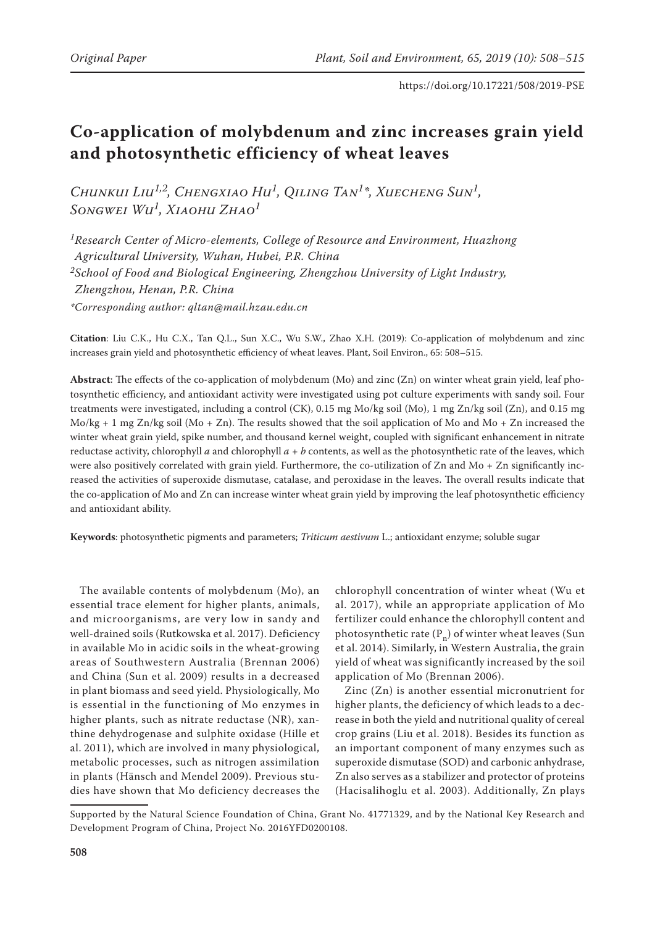# **Co-application of molybdenum and zinc increases grain yield and photosynthetic efficiency of wheat leaves**

*Chunkui Liu1,2, Chengxiao Hu1, Qiling Tan1\*, Xuecheng Sun1, Songwei Wu1, Xiaohu Zhao<sup>1</sup>*

*1Research Center of Micro-elements, College of Resource and Environment, Huazhong Agricultural University, Wuhan, Hubei, P.R. China 2School of Food and Biological Engineering, Zhengzhou University of Light Industry, Zhengzhou, Henan, P.R. China \*Corresponding author: qltan@mail.hzau.edu.cn*

**Citation**: Liu C.K., Hu C.X., Tan Q.L., Sun X.C., Wu S.W., Zhao X.H. (2019): Co-application of molybdenum and zinc increases grain yield and photosynthetic efficiency of wheat leaves. Plant, Soil Environ., 65: 508–515.

**Abstract**: The effects of the co-application of molybdenum (Mo) and zinc (Zn) on winter wheat grain yield, leaf photosynthetic efficiency, and antioxidant activity were investigated using pot culture experiments with sandy soil. Four treatments were investigated, including a control (CK), 0.15 mg Mo/kg soil (Mo), 1 mg Zn/kg soil (Zn), and 0.15 mg  $Mo/kg + 1$  mg Zn/kg soil (Mo + Zn). The results showed that the soil application of Mo and Mo + Zn increased the winter wheat grain yield, spike number, and thousand kernel weight, coupled with significant enhancement in nitrate reductase activity, chlorophyll *a* and chlorophyll *a* + *b* contents, as well as the photosynthetic rate of the leaves, which were also positively correlated with grain yield. Furthermore, the co-utilization of Zn and Mo + Zn significantly increased the activities of superoxide dismutase, catalase, and peroxidase in the leaves. The overall results indicate that the co-application of Mo and Zn can increase winter wheat grain yield by improving the leaf photosynthetic efficiency and antioxidant ability.

**Keywords**: photosynthetic pigments and parameters; *Triticum aestivum* L.; antioxidant enzyme; soluble sugar

The available contents of molybdenum (Mo), an essential trace element for higher plants, animals, and microorganisms, are very low in sandy and well-drained soils (Rutkowska et al. 2017). Deficiency in available Mo in acidic soils in the wheat-growing areas of Southwestern Australia (Brennan 2006) and China (Sun et al. 2009) results in a decreased in plant biomass and seed yield. Physiologically, Mo is essential in the functioning of Mo enzymes in higher plants, such as nitrate reductase (NR), xanthine dehydrogenase and sulphite oxidase (Hille et al. 2011), which are involved in many physiological, metabolic processes, such as nitrogen assimilation in plants (Hänsch and Mendel 2009). Previous studies have shown that Mo deficiency decreases the

chlorophyll concentration of winter wheat (Wu et al. 2017), while an appropriate application of Mo fertilizer could enhance the chlorophyll content and photosynthetic rate  $(P_n)$  of winter wheat leaves (Sun et al. 2014). Similarly, in Western Australia, the grain yield of wheat was significantly increased by the soil application of Mo (Brennan 2006).

Zinc (Zn) is another essential micronutrient for higher plants, the deficiency of which leads to a decrease in both the yield and nutritional quality of cereal crop grains (Liu et al. 2018). Besides its function as an important component of many enzymes such as superoxide dismutase (SOD) and carbonic anhydrase, Zn also serves as a stabilizer and protector of proteins (Hacisalihoglu et al. 2003). Additionally, Zn plays

Supported by the Natural Science Foundation of China, Grant No. 41771329, and by the National Key Research and Development Program of China, Project No. 2016YFD0200108.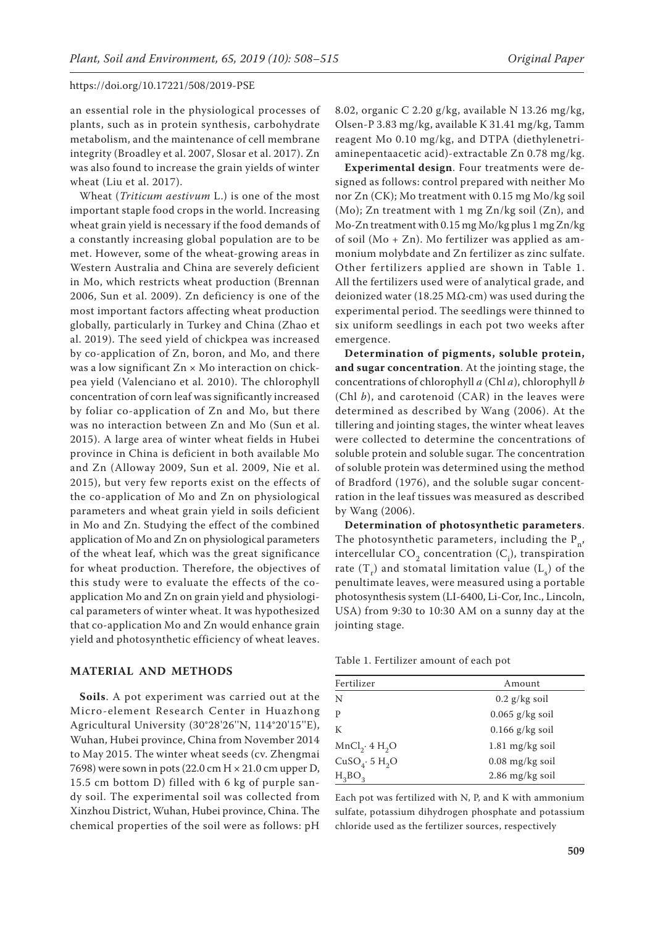an essential role in the physiological processes of plants, such as in protein synthesis, carbohydrate metabolism, and the maintenance of cell membrane integrity (Broadley et al. 2007, Slosar et al. 2017). Zn was also found to increase the grain yields of winter wheat (Liu et al. 2017).

Wheat (*Triticum aestivum* L.) is one of the most important staple food crops in the world. Increasing wheat grain yield is necessary if the food demands of a constantly increasing global population are to be met. However, some of the wheat-growing areas in Western Australia and China are severely deficient in Mo, which restricts wheat production (Brennan 2006, Sun et al. 2009). Zn deficiency is one of the most important factors affecting wheat production globally, particularly in Turkey and China (Zhao et al. 2019). The seed yield of chickpea was increased by co-application of Zn, boron, and Mo, and there was a low significant Zn × Mo interaction on chickpea yield (Valenciano et al. 2010). The chlorophyll concentration of corn leaf was significantly increased by foliar co-application of Zn and Mo, but there was no interaction between Zn and Mo (Sun et al. 2015). A large area of winter wheat fields in Hubei province in China is deficient in both available Mo and Zn (Alloway 2009, Sun et al. 2009, Nie et al. 2015), but very few reports exist on the effects of the co-application of Mo and Zn on physiological parameters and wheat grain yield in soils deficient in Mo and Zn. Studying the effect of the combined application of Mo and Zn on physiological parameters of the wheat leaf, which was the great significance for wheat production. Therefore, the objectives of this study were to evaluate the effects of the coapplication Mo and Zn on grain yield and physiological parameters of winter wheat. It was hypothesized that co-application Mo and Zn would enhance grain yield and photosynthetic efficiency of wheat leaves.

## **MATERIAL AND METHODS**

**Soils**. A pot experiment was carried out at the Micro-element Research Center in Huazhong Agricultural University (30°28'26''N, 114°20'15''E), Wuhan, Hubei province, China from November 2014 to May 2015. The winter wheat seeds (cv. Zhengmai 7698) were sown in pots (22.0 cm  $H \times 21.0$  cm upper D, 15.5 cm bottom D) filled with 6 kg of purple sandy soil. The experimental soil was collected from Xinzhou District, Wuhan, Hubei province, China. The chemical properties of the soil were as follows: pH

8.02, organic C 2.20 g/kg, available N 13.26 mg/kg, Olsen-P 3.83 mg/kg, available K 31.41 mg/kg, Tamm reagent Mo 0.10 mg/kg, and DTPA (diethylenetriaminepentaacetic acid)-extractable Zn 0.78 mg/kg.

**Experimental design**. Four treatments were designed as follows: control prepared with neither Mo nor Zn (CK); Mo treatment with 0.15 mg Mo/kg soil (Mo); Zn treatment with 1 mg Zn/kg soil (Zn), and Mo-Zn treatment with 0.15 mg Mo/kg plus 1 mg Zn/kg of soil (Mo + Zn). Mo fertilizer was applied as ammonium molybdate and Zn fertilizer as zinc sulfate. Other fertilizers applied are shown in Table 1. All the fertilizers used were of analytical grade, and deionized water (18.25 M $\Omega$ ·cm) was used during the experimental period. The seedlings were thinned to six uniform seedlings in each pot two weeks after emergence.

**Determination of pigments, soluble protein, and sugar concentration**. At the jointing stage, the concentrations of chlorophyll *a* (Chl *a*), chlorophyll *b* (Chl *b*), and carotenoid (CAR) in the leaves were determined as described by Wang (2006). At the tillering and jointing stages, the winter wheat leaves were collected to determine the concentrations of soluble protein and soluble sugar. The concentration of soluble protein was determined using the method of Bradford (1976), and the soluble sugar concentration in the leaf tissues was measured as described by Wang (2006).

**Determination of photosynthetic parameters**. The photosynthetic parameters, including the  $P_n$ , intercellular CO<sub>2</sub> concentration (C<sub>i</sub>), transpiration rate  $(T_r)$  and stomatal limitation value  $(L_s)$  of the penultimate leaves, were measured using a portable photosynthesis system (LI-6400, Li-Cor, Inc., Lincoln, USA) from 9:30 to 10:30 AM on a sunny day at the jointing stage.

Table 1. Fertilizer amount of each pot

| Fertilizer                             | Amount                    |
|----------------------------------------|---------------------------|
| N                                      | $0.2$ g/kg soil           |
| P                                      | $0.065$ g/kg soil         |
| К                                      | $0.166$ g/kg soil         |
| MnCl <sub>2</sub> ·4 H <sub>2</sub> O  | $1.81 \text{ mg/kg}$ soil |
| CuSO <sub>4</sub> . 5 H <sub>2</sub> O | $0.08 \text{ mg/kg}$ soil |
| $H_3BO_3$                              | 2.86 mg/kg soil           |

Each pot was fertilized with N, P, and K with ammonium sulfate, potassium dihydrogen phosphate and potassium chloride used as the fertilizer sources, respectively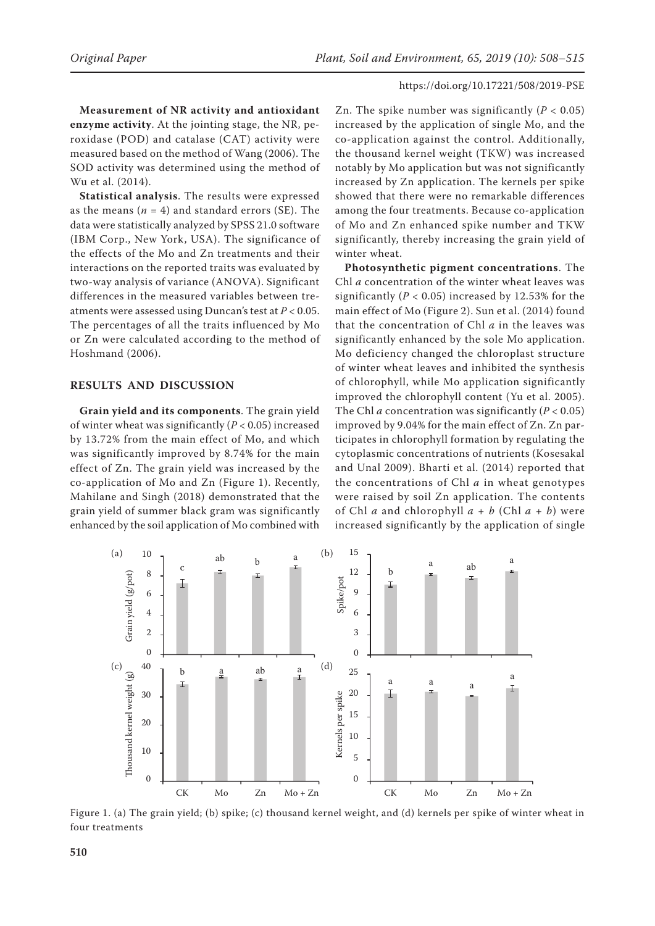**Measurement of NR activity and antioxidant enzyme activity**. At the jointing stage, the NR, peroxidase (POD) and catalase (CAT) activity were measured based on the method of Wang (2006). The SOD activity was determined using the method of Wu et al. (2014).

**Statistical analysis**. The results were expressed as the means  $(n = 4)$  and standard errors (SE). The data were statistically analyzed by SPSS 21.0 software (IBM Corp., New York, USA). The significance of the effects of the Mo and Zn treatments and their interactions on the reported traits was evaluated by two-way analysis of variance (ANOVA). Significant differences in the measured variables between treatments were assessed using Duncan's test at *P* < 0.05. The percentages of all the traits influenced by Mo or Zn were calculated according to the method of Hoshmand (2006).

## **RESULTS AND DISCUSSION**

**Grain yield and its components**. The grain yield of winter wheat was significantly (*P* < 0.05) increased by 13.72% from the main effect of Mo, and which was significantly improved by 8.74% for the main effect of Zn. The grain yield was increased by the co-application of Mo and Zn (Figure 1). Recently, Mahilane and Singh (2018) demonstrated that the grain yield of summer black gram was significantly enhanced by the soil application of Mo combined with

Zn. The spike number was significantly  $(P < 0.05)$ increased by the application of single Mo, and the co-application against the control. Additionally, the thousand kernel weight (TKW) was increased notably by Mo application but was not significantly increased by Zn application. The kernels per spike showed that there were no remarkable differences among the four treatments. Because co-application of Mo and Zn enhanced spike number and TKW significantly, thereby increasing the grain yield of winter wheat.

**Photosynthetic pigment concentrations**. The Chl *a* concentration of the winter wheat leaves was significantly ( $P < 0.05$ ) increased by 12.53% for the main effect of Mo (Figure 2). Sun et al. (2014) found that the concentration of Chl *a* in the leaves was significantly enhanced by the sole Mo application. Mo deficiency changed the chloroplast structure of winter wheat leaves and inhibited the synthesis of chlorophyll, while Mo application significantly improved the chlorophyll content (Yu et al. 2005). The Chl *a* concentration was significantly  $(P < 0.05)$ improved by 9.04% for the main effect of Zn. Zn participates in chlorophyll formation by regulating the cytoplasmic concentrations of nutrients (Kosesakal and Unal 2009). Bharti et al. (2014) reported that the concentrations of Chl *a* in wheat genotypes were raised by soil Zn application. The contents of Chl *a* and chlorophyll *a* + *b* (Chl *a* + *b*) were increased significantly by the application of single



Figure 1. (a) The grain yield; (b) spike; (c) thousand kernel weight, and (d) kernels per spike of winter wheat in four treatments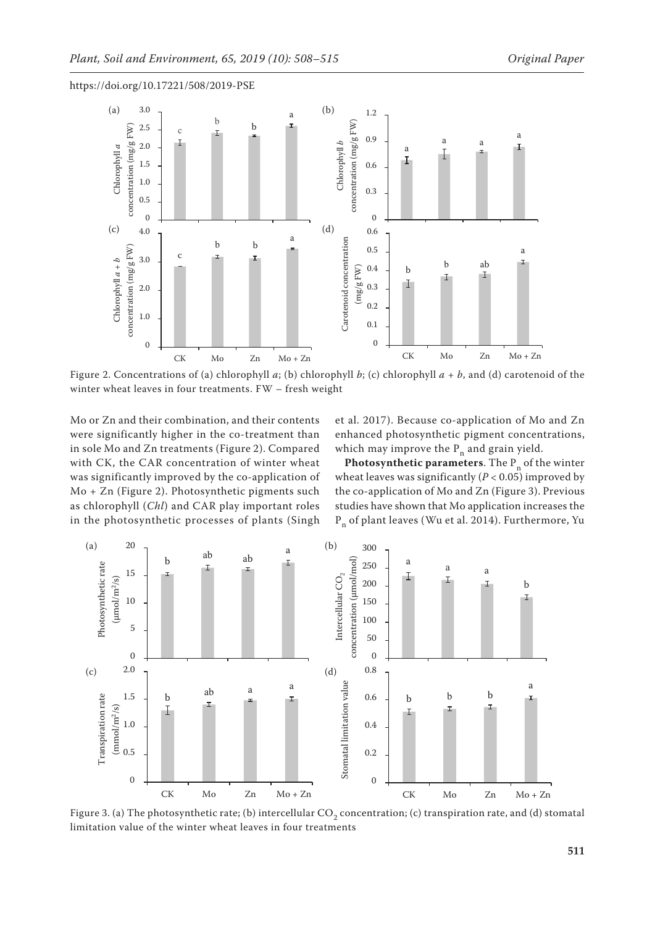



Figure 2. Concentrations of (a) chlorophyll  $a$ ; (b) chlorophyll  $b$ ; (c) chlorophyll  $a + b$ , and (d) carotenoid of the winter wheat leaves in four treatments. FW – fresh weight

Mo or Zn and their combination, and their contents were significantly higher in the co-treatment than in sole Mo and Zn treatments (Figure 2). Compared with CK, the CAR concentration of winter wheat was significantly improved by the co-application of Mo + Zn (Figure 2). Photosynthetic pigments such as chlorophyll (*Chl*) and CAR play important roles in the photosynthetic processes of plants (Singh et al. 2017). Because co-application of Mo and Zn enhanced photosynthetic pigment concentrations, which may improve the  $P_n$  and grain yield.

**Photosynthetic parameters**. The  $P_n$  of the winter wheat leaves was significantly ( $P < 0.05$ ) improved by the co-application of Mo and Zn (Figure 3). Previous studies have shown that Mo application increases the  $P_n$  of plant leaves (Wu et al. 2014). Furthermore, Yu



Figure 3. (a) The photosynthetic rate; (b) intercellular  $\text{CO}_2$  concentration; (c) transpiration rate, and (d) stomatal limitation value of the winter wheat leaves in four treatments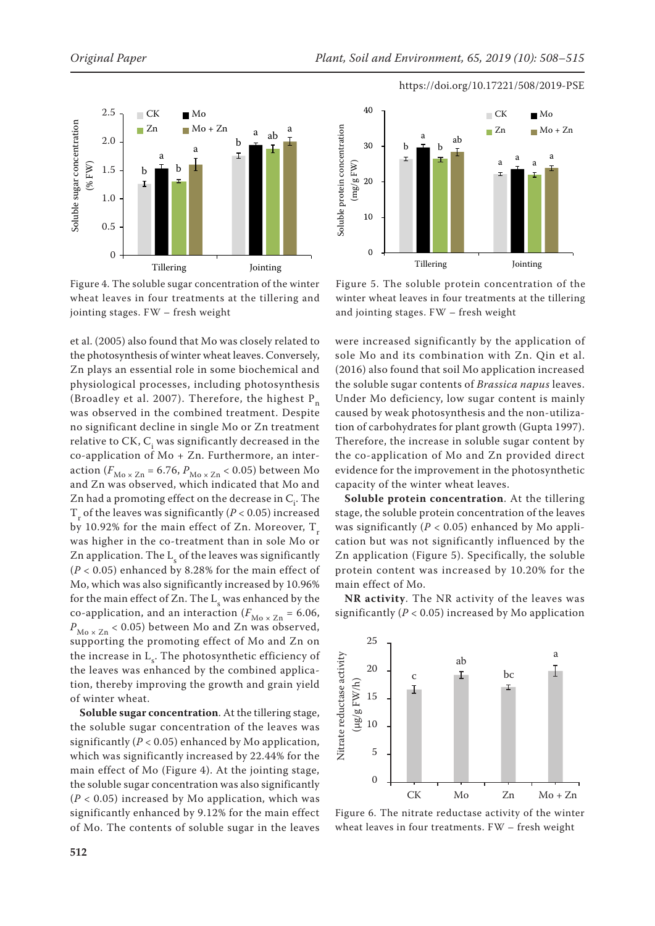

Figure 4. The soluble sugar concentration of the winter wheat leaves in four treatments at the tillering and jointing stages. FW – fresh weight

et al. (2005) also found that Mo was closely related to the photosynthesis of winter wheat leaves. Conversely, Zn plays an essential role in some biochemical and physiological processes, including photosynthesis (Broadley et al. 2007). Therefore, the highest  $P_n$ was observed in the combined treatment. Despite no significant decline in single Mo or Zn treatment relative to CK,  $C_i$  was significantly decreased in the co-application of Mo + Zn. Furthermore, an interaction ( $F_{\text{Mo} \times \text{Zn}}$  = 6.76,  $P_{\text{Mo} \times \text{Zn}}$  < 0.05) between Mo and Zn was observed, which indicated that Mo and Zn had a promoting effect on the decrease in  $\mathsf{C}_\mathsf{i}.$  The  $T_{\rm r}$  of the leaves was significantly ( $P < 0.05$ ) increased by 10.92% for the main effect of Zn. Moreover,  $T_{\text{r}}$ was higher in the co-treatment than in sole Mo or Zn application. The  $L<sub>s</sub>$  of the leaves was significantly (*P* < 0.05) enhanced by 8.28% for the main effect of Mo, which was also significantly increased by 10.96% for the main effect of Zn. The  $L<sub>s</sub>$  was enhanced by the co-application, and an interaction ( $F_{M\text{o x Zn}}$  = 6.06,  $P_{\text{Mo} \times \text{Zn}}$  < 0.05) between Mo and Zn was observed, supporting the promoting effect of Mo and Zn on the increase in  $L_s$ . The photosynthetic efficiency of the leaves was enhanced by the combined application, thereby improving the growth and grain yield of winter wheat.

**Soluble sugar concentration**. At the tillering stage, the soluble sugar concentration of the leaves was significantly  $(P < 0.05)$  enhanced by Mo application, which was significantly increased by 22.44% for the main effect of Mo (Figure 4). At the jointing stage, the soluble sugar concentration was also significantly  $(P < 0.05)$  increased by Mo application, which was significantly enhanced by 9.12% for the main effect of Mo. The contents of soluble sugar in the leaves



Figure 5. The soluble protein concentration of the winter wheat leaves in four treatments at the tillering and jointing stages. FW – fresh weight

were increased significantly by the application of sole Mo and its combination with Zn. Qin et al. (2016) also found that soil Mo application increased the soluble sugar contents of *Brassica napus* leaves. Under Mo deficiency, low sugar content is mainly caused by weak photosynthesis and the non-utilization of carbohydrates for plant growth (Gupta 1997). Therefore, the increase in soluble sugar content by the co-application of Mo and Zn provided direct evidence for the improvement in the photosynthetic capacity of the winter wheat leaves.

**Soluble protein concentration**. At the tillering stage, the soluble protein concentration of the leaves was significantly ( $P < 0.05$ ) enhanced by Mo application but was not significantly influenced by the Zn application (Figure 5). Specifically, the soluble protein content was increased by 10.20% for the main effect of Mo.

**NR activity**. The NR activity of the leaves was significantly ( $P < 0.05$ ) increased by Mo application



Figure 6. The nitrate reductase activity of the winter wheat leaves in four treatments. FW – fresh weight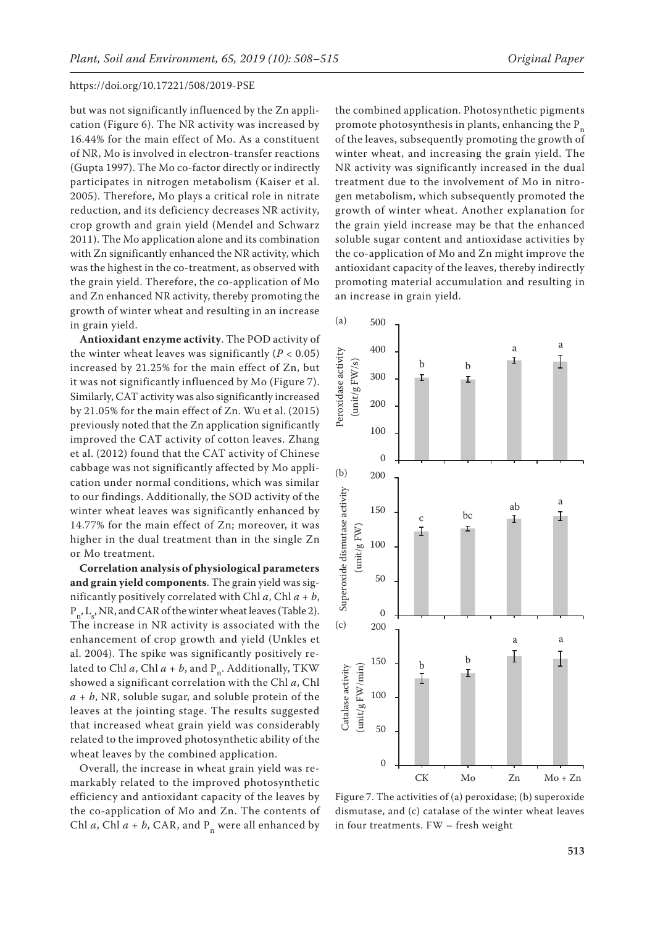but was not significantly influenced by the Zn application (Figure 6). The NR activity was increased by 16.44% for the main effect of Mo. As a constituent of NR, Mo is involved in electron-transfer reactions (Gupta 1997). The Mo co-factor directly or indirectly participates in nitrogen metabolism (Kaiser et al. 2005). Therefore, Mo plays a critical role in nitrate reduction, and its deficiency decreases NR activity, crop growth and grain yield (Mendel and Schwarz 2011). The Mo application alone and its combination with Zn significantly enhanced the NR activity, which was the highest in the co-treatment, as observed with the grain yield. Therefore, the co-application of Mo and Zn enhanced NR activity, thereby promoting the growth of winter wheat and resulting in an increase in grain yield.

**Antioxidant enzyme activity**. The POD activity of the winter wheat leaves was significantly  $(P < 0.05)$ increased by 21.25% for the main effect of Zn, but it was not significantly influenced by Mo (Figure 7). Similarly, CAT activity was also significantly increased by 21.05% for the main effect of Zn. Wu et al. (2015) previously noted that the Zn application significantly improved the CAT activity of cotton leaves. Zhang et al. (2012) found that the CAT activity of Chinese cabbage was not significantly affected by Mo application under normal conditions, which was similar to our findings. Additionally, the SOD activity of the winter wheat leaves was significantly enhanced by 14.77% for the main effect of Zn; moreover, it was higher in the dual treatment than in the single Zn or Mo treatment.

**Correlation analysis of physiological parameters and grain yield components**. The grain yield was significantly positively correlated with Chl  $a$ , Chl  $a + b$ ,  $P_{n'} L_s$ , NR, and CAR of the winter wheat leaves (Table 2). The increase in NR activity is associated with the enhancement of crop growth and yield (Unkles et al. 2004). The spike was significantly positively related to Chl  $a$ , Chl  $a + b$ , and P<sub>n</sub>. Additionally, TKW showed a significant correlation with the Chl *a*, Chl  $a + b$ , NR, soluble sugar, and soluble protein of the leaves at the jointing stage. The results suggested that increased wheat grain yield was considerably related to the improved photosynthetic ability of the wheat leaves by the combined application.

Overall, the increase in wheat grain yield was remarkably related to the improved photosynthetic efficiency and antioxidant capacity of the leaves by the co-application of Mo and Zn. The contents of Chl  $a$ , Chl  $a + b$ , CAR, and  $P_n$  were all enhanced by

the combined application. Photosynthetic pigments promote photosynthesis in plants, enhancing the  $P_n$ of the leaves, subsequently promoting the growth of winter wheat, and increasing the grain yield. The NR activity was significantly increased in the dual treatment due to the involvement of Mo in nitrogen metabolism, which subsequently promoted the growth of winter wheat. Another explanation for the grain yield increase may be that the enhanced soluble sugar content and antioxidase activities by the co-application of Mo and Zn might improve the antioxidant capacity of the leaves, thereby indirectly promoting material accumulation and resulting in an increase in grain yield. 500



Figure 7. The activities of (a) peroxidase; (b) superoxide dismutase, and (c) catalase of the winter wheat leaves in four treatments. FW – fresh weight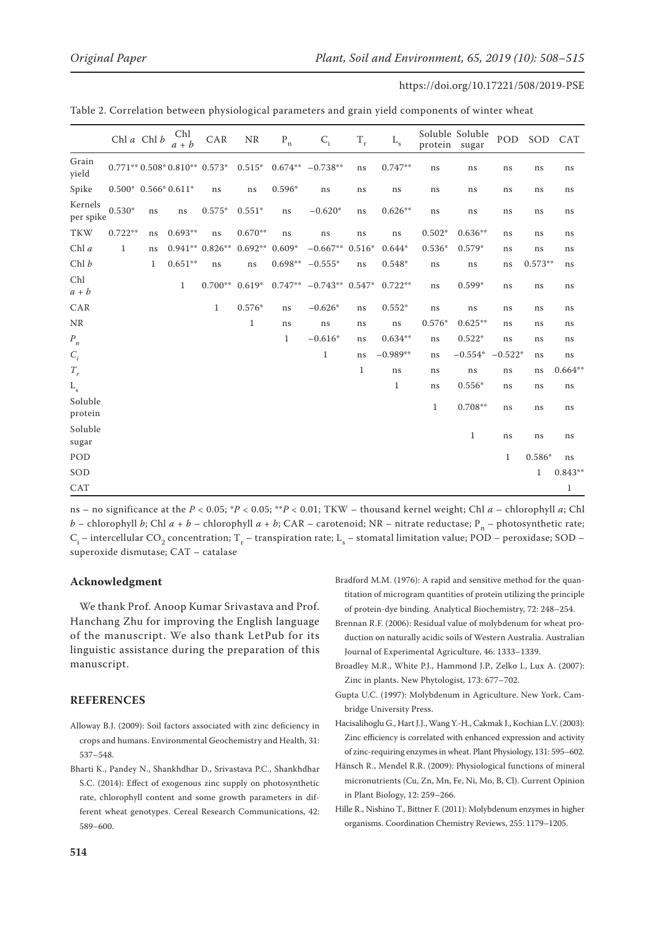|                      |                        | Chl a Chl b | Chl<br>$a + b$               | CAR              | <b>NR</b>        | $\mathbf{P}_{\text{n}}$ | $C_i$             | $\rm T_{r}$  | L <sub>s</sub> | protein sugar | Soluble Soluble | POD         | SOD          | CAT       |
|----------------------|------------------------|-------------|------------------------------|------------------|------------------|-------------------------|-------------------|--------------|----------------|---------------|-----------------|-------------|--------------|-----------|
| Grain<br>yield       |                        |             | $0.771**0.508*0.810**0.573*$ |                  | $0.515*$         | $0.674**$               | $-0.738**$        | ns           | $0.747**$      | ns            | ns              | ns          | ns           | ns        |
| Spike                | $0.500* 0.566* 0.611*$ |             |                              | ns               | ns               | $0.596*$                | ns                | ns           | ns             | ns            | ns              | ns          | ns           | ns        |
| Kernels<br>per spike | $0.530*$               | ns          | ns                           | $0.575*$         | $0.551*$         | ns                      | $-0.620*$         | ns           | $0.626**$      | ns            | ns              | ns          | ns           | ns        |
| <b>TKW</b>           | $0.722**$              | ns          | $0.693**$                    | ns               | $0.670**$        | ns                      | ns                | ns           | ns             | $0.502*$      | $0.636**$       | ns          | ns           | ns        |
| Chl $a$              | $\mathbf{1}$           | ns          |                              | $0.941**0.826**$ | $0.692**$        | $0.609*$                | $-0.667**$        | $0.516*$     | $0.644*$       | $0.536*$      | $0.579*$        | ns          | ns           | ns        |
| Chl b                |                        | 1           | $0.651**$                    | ns               | ns               | $0.698**$               | $-0.555*$         | ns           | 0.548*         | ns            | ns              | ns          | $0.573**$    | ns        |
| Chl<br>$a + b$       |                        |             | $\mathbf{1}$                 |                  | $0.700**$ 0.619* | $0.747**$               | $-0.743**$ 0.547* |              | $0.722**$      | ns            | $0.599*$        | ns          | ns           | ns        |
| CAR                  |                        |             |                              | $\mathbf{1}$     | $0.576*$         | ns                      | $-0.626*$         | ns           | $0.552*$       | ns            | ns              | ns          | ns           | ns        |
| <b>NR</b>            |                        |             |                              |                  | 1                | ns                      | ns                | ns           | ns             | $0.576*$      | $0.625**$       | ns          | ns           | ns        |
| $P_n$                |                        |             |                              |                  |                  | 1                       | $-0.616*$         | ns           | $0.634**$      | ns            | $0.522*$        | ns          | ns           | ns        |
| $C_i$                |                        |             |                              |                  |                  |                         | $\mathbf{1}$      | ns           | $-0.989**$     | ns            | $-0.554*$       | $-0.522*$   | ns           | ns        |
| $T_r$                |                        |             |                              |                  |                  |                         |                   | $\mathbf{1}$ | ns             | ns            | ns              | ns          | ns           | $0.664**$ |
| L <sub>s</sub>       |                        |             |                              |                  |                  |                         |                   |              | $\mathbf{1}$   | ns            | $0.556*$        | ns          | ns           | ns        |
| Soluble<br>protein   |                        |             |                              |                  |                  |                         |                   |              |                | $\mathbf{1}$  | $0.708**$       | ns          | ns           | ns        |
| Soluble<br>sugar     |                        |             |                              |                  |                  |                         |                   |              |                |               | $\mathbf{1}$    | ns          | ns           | ns        |
| POD                  |                        |             |                              |                  |                  |                         |                   |              |                |               |                 | $\mathbf 1$ | $0.586*$     | ns        |
| SOD                  |                        |             |                              |                  |                  |                         |                   |              |                |               |                 |             | $\mathbf{1}$ | $0.843**$ |
| CAT                  |                        |             |                              |                  |                  |                         |                   |              |                |               |                 |             |              | 1         |

Table 2. Correlation between physiological parameters and grain yield components of winter wheat

ns – no significance at the *P* < 0.05; \**P* < 0.05; \*\**P* < 0.01; TKW – thousand kernel weight; Chl *a* – chlorophyll *a*; Chl *b* – chlorophyll *b*; Chl *a* + *b* – chlorophyll *a* + *b*; CAR – carotenoid; NR – nitrate reductase; P<sub>n</sub> – photosynthetic rate;  $\rm C_i$  – intercellular CO<sub>2</sub> concentration; T<sub>r</sub> – transpiration rate;  $\rm L_s$  – stomatal limitation value; POD – peroxidase; SOD – superoxide dismutase; CAT – catalase

## **Acknowledgment**

We thank Prof. Anoop Kumar Srivastava and Prof. Hanchang Zhu for improving the English language of the manuscript. We also thank LetPub for its linguistic assistance during the preparation of this manuscript.

## **REFERENCES**

- Alloway B.J. (2009): Soil factors associated with zinc deficiency in crops and humans. Environmental Geochemistry and Health, 31: 537–548.
- Bharti K., Pandey N., Shankhdhar D., Srivastava P.C., Shankhdhar S.C. (2014): Effect of exogenous zinc supply on photosynthetic rate, chlorophyll content and some growth parameters in different wheat genotypes. Cereal Research Communications, 42: 589–600.

Bradford M.M. (1976): A rapid and sensitive method for the quantitation of microgram quantities of protein utilizing the principle of protein-dye binding. Analytical Biochemistry, 72: 248–254.

- Brennan R.F. (2006): Residual value of molybdenum for wheat production on naturally acidic soils of Western Australia. Australian Journal of Experimental Agriculture, 46: 1333–1339.
- Broadley M.R., White P.J., Hammond J.P., Zelko I., Lux A. (2007): Zinc in plants. New Phytologist, 173: 677–702.
- Gupta U.C. (1997): Molybdenum in Agriculture. New York, Cambridge University Press.
- Hacisalihoglu G., Hart J.J., Wang Y.-H., Cakmak I., Kochian L.V. (2003): Zinc efficiency is correlated with enhanced expression and activity of zinc-requiring enzymes in wheat. Plant Physiology, 131: 595–602.
- Hänsch R., Mendel R.R. (2009): Physiological functions of mineral micronutrients (Cu, Zn, Mn, Fe, Ni, Mo, B, Cl). Current Opinion in Plant Biology, 12: 259–266.
- Hille R., Nishino T., Bittner F. (2011): Molybdenum enzymes in higher organisms. Coordination Chemistry Reviews, 255: 1179–1205.